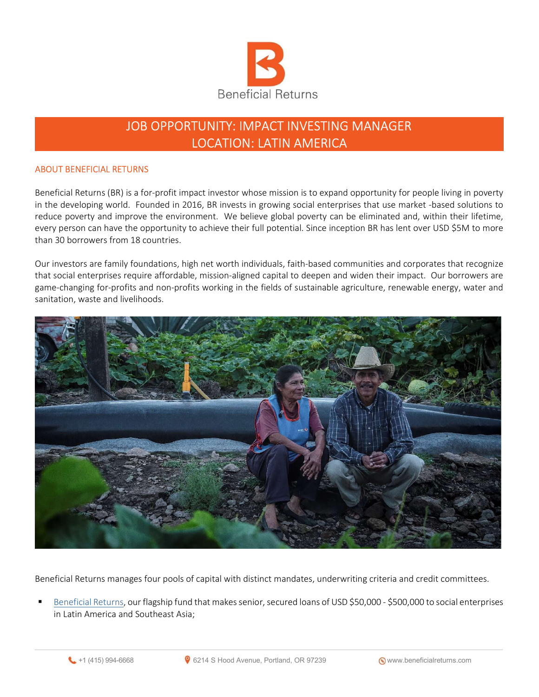

# JOB OPPORTUNITY: IMPACT INVESTING MANAGER LOCATION: LATIN AMERICA

## ABOUT BENEFICIAL RETURNS

Beneficial Returns (BR) is a for-profit impact investor whose mission is to expand opportunity for people living in poverty in the developing world. Founded in 2016, BR invests in growing social enterprises that use market -based solutions to reduce poverty and improve the environment. We believe global poverty can be eliminated and, within their lifetime, every person can have the opportunity to achieve their full potential. Since inception BR has lent over USD \$5M to more than 30 borrowers from 18 countries.

Our investors are family foundations, high net worth individuals, faith-based communities and corporates that recognize that social enterprises require affordable, mission-aligned capital to deepen and widen their impact. Our borrowers are game-changing for-profits and non-profits working in the fields of sustainable agriculture, renewable energy, water and sanitation, waste and livelihoods.



Beneficial Returns manages four pools of capital with distinct mandates, underwriting criteria and credit committees.

 Beneficial Returns, our flagship fund that makes senior, secured loans of USD \$50,000 - \$500,000 to social enterprises in Latin America and Southeast Asia;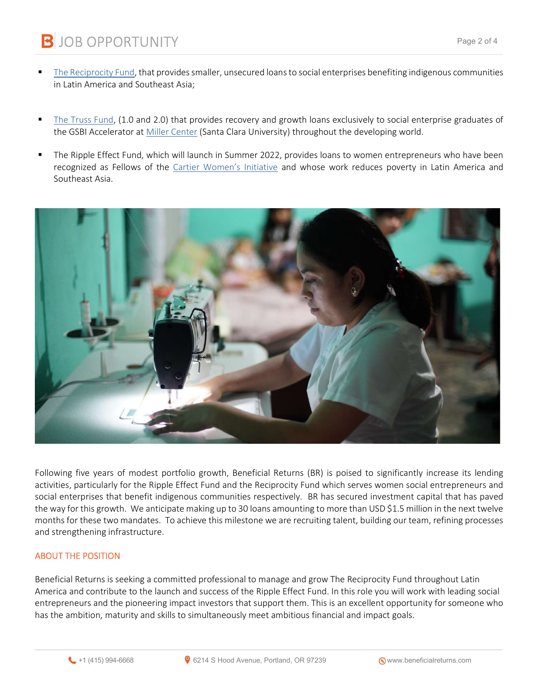**B** JOB OPPORTUNITY

- The Reciprocity Fund, that provides smaller, unsecured loans to social enterprises benefiting indigenous communities in Latin America and Southeast Asia;
- The Truss Fund, (1.0 and 2.0) that provides recovery and growth loans exclusively to social enterprise graduates of the GSBI Accelerator at Miller Center (Santa Clara University) throughout the developing world.
- The Ripple Effect Fund, which will launch in Summer 2022, provides loans to women entrepreneurs who have been recognized as Fellows of the Cartier Women's Initiative and whose work reduces poverty in Latin America and Southeast Asia.



Following five years of modest portfolio growth, Beneficial Returns (BR) is poised to significantly increase its lending activities, particularly for the Ripple Effect Fund and the Reciprocity Fund which serves women social entrepreneurs and social enterprises that benefit indigenous communities respectively. BR has secured investment capital that has paved the way for this growth. We anticipate making up to 30 loans amounting to more than USD \$1.5 million in the next twelve months for these two mandates. To achieve this milestone we are recruiting talent, building our team, refining processes and strengthening infrastructure.

#### ABOUT THE POSITION

Beneficial Returns is seeking a committed professional to manage and grow The Reciprocity Fund throughout Latin America and contribute to the launch and success of the Ripple Effect Fund. In this role you will work with leading social entrepreneurs and the pioneering impact investors that support them. This is an excellent opportunity for someone who has the ambition, maturity and skills to simultaneously meet ambitious financial and impact goals.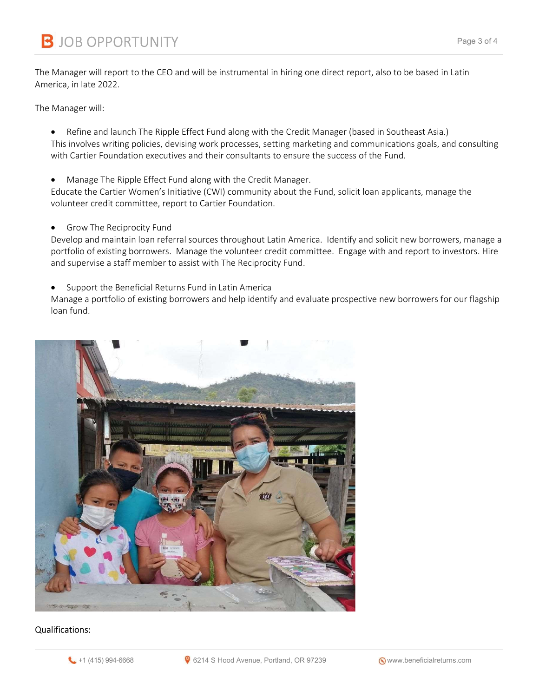The Manager will report to the CEO and will be instrumental in hiring one direct report, also to be based in Latin America, in late 2022.

The Manager will:

- Refine and launch The Ripple Effect Fund along with the Credit Manager (based in Southeast Asia.) This involves writing policies, devising work processes, setting marketing and communications goals, and consulting with Cartier Foundation executives and their consultants to ensure the success of the Fund.
- Manage The Ripple Effect Fund along with the Credit Manager.

Educate the Cartier Women's Initiative (CWI) community about the Fund, solicit loan applicants, manage the volunteer credit committee, report to Cartier Foundation.

**•** Grow The Reciprocity Fund

Develop and maintain loan referral sources throughout Latin America. Identify and solicit new borrowers, manage a portfolio of existing borrowers. Manage the volunteer credit committee. Engage with and report to investors. Hire and supervise a staff member to assist with The Reciprocity Fund.

Support the Beneficial Returns Fund in Latin America

Manage a portfolio of existing borrowers and help identify and evaluate prospective new borrowers for our flagship loan fund.



# Qualifications: